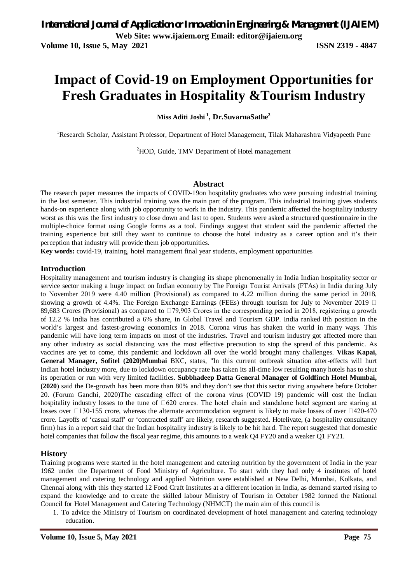**Volume 10, Issue 5, May 2021 ISSN 2319 - 4847**

# **Impact of Covid-19 on Employment Opportunities for Fresh Graduates in Hospitality &Tourism Industry**

**Miss Aditi Joshi <sup>1</sup> , Dr.SuvarnaSathe<sup>2</sup>**

<sup>1</sup>Research Scholar, Assistant Professor, Department of Hotel Management, Tilak Maharashtra Vidyapeeth Pune

<sup>2</sup>HOD, Guide, TMV Department of Hotel management

#### **Abstract**

The research paper measures the impacts of COVID-19on hospitality graduates who were pursuing industrial training in the last semester. This industrial training was the main part of the program. This industrial training gives students hands-on experience along with job opportunity to work in the industry. This pandemic affected the hospitality industry worst as this was the first industry to close down and last to open. Students were asked a structured questionnaire in the multiple-choice format using Google forms as a tool. Findings suggest that student said the pandemic affected the training experience but still they want to continue to choose the hotel industry as a career option and it's their perception that industry will provide them job opportunities.

**Key words:** covid-19, training, hotel management final year students, employment opportunities

#### **Introduction**

Hospitality management and tourism industry is changing its shape phenomenally in India Indian hospitality sector or service sector making a huge impact on Indian economy by The Foreign Tourist Arrivals (FTAs) in India during July to November 2019 were 4.40 million (Provisional) as compared to 4.22 million during the same period in 2018, showing a growth of 4.4%. The Foreign Exchange Earnings (FEEs) through tourism for July to November 2019  $\Box$ 89,683 Crores (Provisional) as compared to  $\Box$ 79,903 Crores in the corresponding period in 2018, registering a growth of 12.2 % India has contributed a 6% share, in Global Travel and Tourism GDP. India ranked 8th position in the world's largest and fastest-growing economics in 2018. Corona virus has shaken the world in many ways. This pandemic will have long term impacts on most of the industries. Travel and tourism industry got affected more than any other industry as social distancing was the most effective precaution to stop the spread of this pandemic. As vaccines are yet to come, this pandemic and lockdown all over the world brought many challenges. **Vikas Kapai, General Manager, Sofitel (2020)Mumbai** BKC, states, "In this current outbreak situation after-effects will hurt Indian hotel industry more, due to lockdown occupancy rate has taken its all-time low resulting many hotels has to shut its operation or run with very limited facilities. **Subbhadeep Datta General Manager of Goldfinch Hotel Mumbai, (2020**) said the De-growth has been more than 80% and they don't see that this sector riving anywhere before October 20. (Forum Gandhi, 2020)The cascading effect of the corona virus (COVID 19) pandemic will cost the Indian hospitality industry losses to the tune of  $\Box$ 620 crores. The hotel chain and standalone hotel segment are staring at losses over  $\Box$ 130-155 crore, whereas the alternate accommodation segment is likely to make losses of over  $\Box$ 420-470 crore. Layoffs of 'casual staff' or 'contracted staff' are likely, research suggested. Hotelivate, (a hospitality consultancy firm) has in a report said that the Indian hospitality industry is likely to be hit hard. The report suggested that domestic hotel companies that follow the fiscal year regime, this amounts to a weak Q4 FY20 and a weaker Q1 FY21.

#### **History**

Training programs were started in the hotel management and catering nutrition by the government of India in the year 1962 under the Department of Food Ministry of Agriculture. To start with they had only 4 institutes of hotel management and catering technology and applied Nutrition were established at New Delhi, Mumbai, Kolkata, and Chennai along with this they started 12 Food Craft Institutes at a different location in India, as demand started rising to expand the knowledge and to create the skilled labour Ministry of Tourism in October 1982 formed the National Council for Hotel Management and Catering Technology (NHMCT) the main aim of this council is

1. To advice the Ministry of Tourism on coordinated development of hotel management and catering technology education.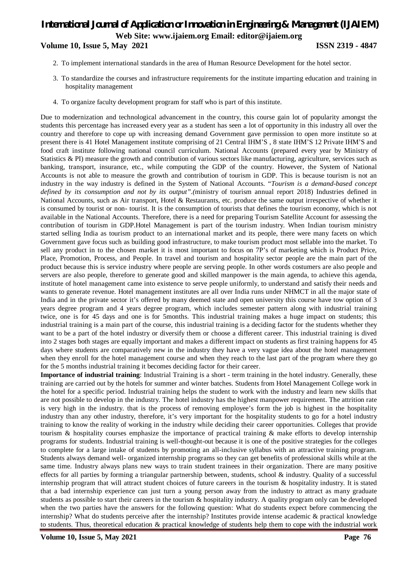## *International Journal of Application or Innovation in Engineering & Management (IJAIEM)* **Web Site: www.ijaiem.org Email: editor@ijaiem.org Volume 10, Issue 5, May 2021 ISSN 2319 - 4847**

- 2. To implement international standards in the area of Human Resource Development for the hotel sector.
- 3. To standardize the courses and infrastructure requirements for the institute imparting education and training in hospitality management
- 4. To organize faculty development program for staff who is part of this institute.

Due to modernization and technological advancement in the country, this course gain lot of popularity amongst the students this percentage has increased every year as a student has seen a lot of opportunity in this industry all over the country and therefore to cope up with increasing demand Government gave permission to open more institute so at present there is 41 Hotel Management institute comprising of 21 Central IHM'S , 8 state IHM'S 12 Private IHM'S and food craft institute following national council curriculum. National Accounts (prepared every year by Ministry of Statistics & PI) measure the growth and contribution of various sectors like manufacturing, agriculture, services such as banking, transport, insurance, etc., while computing the GDP of the country. However, the System of National Accounts is not able to measure the growth and contribution of tourism in GDP. This is because tourism is not an industry in the way industry is defined in the System of National Accounts. "*Tourism is a demand-based concept defined by its consumption and not by its output".(*ministry of tourism annual report 2018) Industries defined in National Accounts, such as Air transport, Hotel & Restaurants, etc. produce the same output irrespective of whether it is consumed by tourist or non- tourist. It is the consumption of tourists that defines the tourism economy, which is not available in the National Accounts. Therefore, there is a need for preparing Tourism Satellite Account for assessing the contribution of tourism in GDP.Hotel Management is part of the tourism industry. When Indian tourism ministry started selling India as tourism product to an international market and its people, there were many facets on which Government gave focus such as building good infrastructure, to make tourism product most sellable into the market. To sell any product in to the chosen market it is most important to focus on 7P's of marketing which is Product Price, Place, Promotion, Process, and People. In travel and tourism and hospitality sector people are the main part of the product because this is service industry where people are serving people. In other words costumers are also people and servers are also people, therefore to generate good and skilled manpower is the main agenda, to achieve this agenda, institute of hotel management came into existence to serve people uniformly, to understand and satisfy their needs and wants to generate revenue. Hotel management institutes are all over India runs under NHMCT in all the major state of India and in the private sector it's offered by many deemed state and open university this course have tow option of 3 years degree program and 4 years degree program, which includes semester pattern along with industrial training twice, one is for 45 days and one is for 5months. This industrial training makes a huge impact on students; this industrial training is a main part of the course, this industrial training is a deciding factor for the students whether they want to be a part of the hotel industry or diversify them or choose a different career. This industrial training is dived into 2 stages both stages are equally important and makes a different impact on students as first training happens for 45 days where students are comparatively new in the industry they have a very vague idea about the hotel management when they enroll for the hotel management course and when they reach to the last part of the program where they go for the 5 months industrial training it becomes deciding factor for their career.

**Importance of industrial training**: Industrial Training is a short - term training in the hotel industry. Generally, these training are carried out by the hotels for summer and winter batches. Students from Hotel Management College work in the hotel for a specific period. Industrial training helps the student to work with the industry and learn new skills that are not possible to develop in the industry. The hotel industry has the highest manpower requirement. The attrition rate is very high in the industry. that is the process of removing employee's form the job is highest in the hospitality industry than any other industry, therefore, it's very important for the hospitality students to go for a hotel industry training to know the reality of working in the industry while deciding their career opportunities. Colleges that provide tourism & hospitality courses emphasize the importance of practical training & make efforts to develop internship programs for students. Industrial training is well-thought-out because it is one of the positive strategies for the colleges to complete for a large intake of students by promoting an all-inclusive syllabus with an attractive training program. Students always demand well- organized internship programs so they can get benefits of professional skills while at the same time. Industry always plans new ways to train student trainees in their organization. There are many positive effects for all parties by forming a triangular partnership between, students, school & industry. Quality of a successful internship program that will attract student choices of future careers in the tourism & hospitality industry. It is stated that a bad internship experience can just turn a young person away from the industry to attract as many graduate students as possible to start their careers in the tourism & hospitality industry. A quality program only can be developed when the two parties have the answers for the following question: What do students expect before commencing the internship? What do students perceive after the internship? Institutes provide intense academic & practical knowledge to students. Thus, theoretical education & practical knowledge of students help them to cope with the industrial work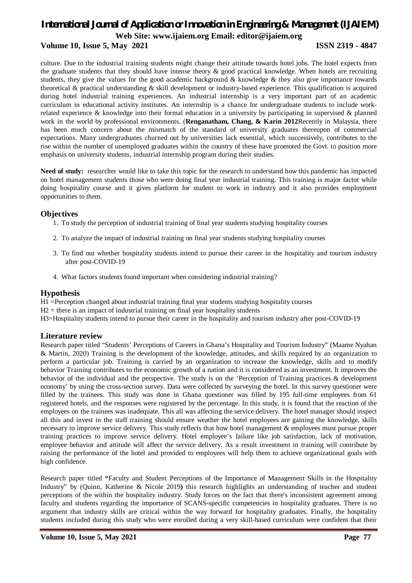### **Volume 10, Issue 5, May 2021 ISSN 2319 - 4847**

culture. Due to the industrial training students might change their attitude towards hotel jobs. The hotel expects from the graduate students that they should have intense theory & good practical knowledge. When hotels are recruiting students, they give the values for the good academic background  $\&$  knowledge  $\&$  they also give importance towards theoretical & practical understanding & skill development or industry-based experience. This qualification is acquired during hotel industrial training experiences. An industrial internship is a very important part of an academic curriculum in educational activity institutes. An internship is a chance for undergraduate students to include workrelated experience & knowledge into their formal education in a university by participating in supervised & planned work in the world by professional environments. (**Renganatham, Chang, & Karin 2012**Recently in Malaysia, there has been much concern about the mismatch of the standard of university graduates thereupon of commercial expectations. Many undergraduates churned out by universities lack essential, which successively, contributes to the rise within the number of unemployed graduates within the country of these have promoted the Govt. to position more emphasis on university students, industrial internship program during their studies.

**Need of study:** researcher would like to take this topic for the research to understand how this pandemic has impacted on hotel management students those who were doing final year industrial training. This training is major factor while doing hospitality course and it gives platform for student to work in industry and it also provides employment opportunities to them.

#### **Objectives**

- 1. To study the perception of industrial training of final year students studying hospitality courses
- 2. To analyze the impact of industrial training on final year students studying hospitality courses
- 3. To find out whether hospitality students intend to pursue their career in the hospitality and tourism industry after post-COVID-19
- 4. What factors students found important when considering industrial training?

#### **Hypothesis**

H1 =Perception changed about industrial training final year students studying hospitality courses

- $H2$  = there is an impact of industrial training on final year hospitality students
- H3=Hospitality students intend to pursue their career in the hospitality and tourism industry after post-COVID-19

#### **Literature review**

Research paper titled "Students' Perceptions of Careers in Ghana's Hospitality and Tourism Industry" (Maame Nyahan & Martin, 2020) Training is the development of the knowledge, attitudes, and skills required by an organization to perform a particular job. Training is carried by an organization to increase the knowledge, skills and to modify behavior Training contributes to the economic growth of a nation and it is considered as an investment. It improves the behavior of the individual and the perspective. The study is on the 'Perception of Training practices & development economy' by using the cross-section survey. Data were collected by surveying the hotel. In this survey questioner were filled by the trainees. This study was done in Ghana questioner was filled by 195 full-time employees from 61 registered hotels, and the responses were registered by the percentage. In this study, it is found that the reaction of the employees on the trainees was inadequate. This all was affecting the service delivery. The hotel manager should inspect all this and invest in the staff training should ensure weather the hotel employees are gaining the knowledge, skills necessary to improve service delivery. This study reflects that how hotel management & employees must pursue proper training practices to improve service delivery. Hotel employee's failure like job satisfaction, lack of motivation, employee behavior and attitude will affect the service delivery. As a result investment in training will contribute by raising the performance of the hotel and provided to employees will help them to achieve organizational goals with high confidence.

Research paper titled **"**Faculty and Student Perceptions of the Importance of Management Skills in the Hospitality Industry" by (Quinn, Katherine & Nicole 2019**)** this research highlights an understanding of teacher and student perceptions of the within the hospitality industry. Study forces on the fact that there's inconsistent agreement among faculty and students regarding the importance of SCANS-specific competencies in hospitality graduates. There is no argument that industry skills are critical within the way forward for hospitality graduates. Finally, the hospitality students included during this study who were enrolled during a very skill-based curriculum were confident that their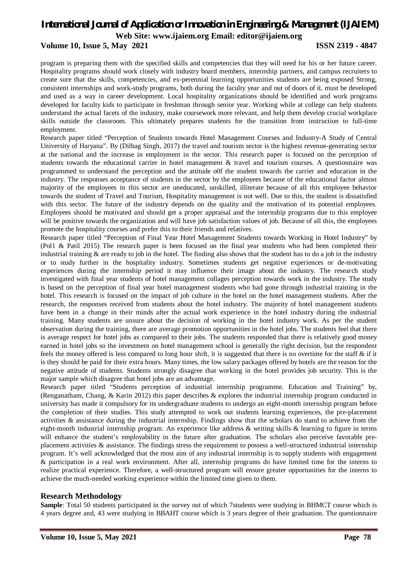# *International Journal of Application or Innovation in Engineering & Management (IJAIEM)*

**Web Site: www.ijaiem.org Email: editor@ijaiem.org**

#### **Volume 10, Issue 5, May 2021 ISSN 2319 - 4847**

program is preparing them with the specified skills and competencies that they will need for his or her future career. Hospitality programs should work closely with industry board members, internship partners, and campus recruiters to create sure that the skills, competencies, and ex-perennial learning opportunities students are being exposed Strong, consistent internships and work-study programs, both during the faculty year and out of doors of it, must be developed and used as a way in career development. Local hospitality organizations should be identified and work programs developed for faculty kids to participate in freshman through senior year. Working while at college can help students understand the actual facets of the industry, make coursework more relevant, and help them develop crucial workplace skills outside the classroom. This ultimately prepares students for the transition from instruction to full-time employment.

Research paper titled "Perception of Students towards Hotel Management Courses and Industry-A Study of Central University of Haryana". By (Dilbag Singh, 2017) the travel and tourism sector is the highest revenue-generating sector at the national and the increase in employment in the sector. This research paper is focused on the perception of students towards the educational carrier in hotel management & travel and tourism courses. A questionnaire was programmed to understand the perception and the attitude o0f the student towards the carrier and education in the industry. The responses acceptance of students in the sector by the employees because of the educational factor almost majority of the employees in this sector are uneducated, unskilled, illiterate because of all this employee behavior towards the student of Travel and Tourism, Hospitality management is not well. Due to this, the student is dissatisfied with this sector. The future of the industry depends on the quality and the motivation of its potential employees. Employees should be motivated and should get a proper appraisal and the internship programs due to this employee will be positive towards the organization and will have job satisfaction values of job. Because of all this, the employees promote the hospitality courses and prefer this to their friends and relatives.

Research paper titled "Perception of Final Year Hotel Management Students towards Working in Hotel Industry" by (Pol1 & Patil 2015) The research paper is been focused on the final year students who had been completed their industrial training  $\&$  are ready to job in the hotel. The finding also shows that the student has to do a job in the industry or to study further in the hospitality industry. Sometimes students get negative experiences or de-motivating experiences during the internship period it may influence their image about the industry. The research study investigated with final year students of hotel management collages perception towards work in the industry. The study is based on the perception of final year hotel management students who had gone through industrial training in the hotel. This research is focused on the impact of job culture in the hotel on the hotel management students. After the research, the responses received from students about the hotel industry. The majority of hotel management students have been in a change in their minds after the actual work experience in the hotel industry during the industrial training. Many students are unsure about the decision of working in the hotel industry work. As per the student observation during the training, there are average promotion opportunities in the hotel jobs. The students feel that there is average respect for hotel jobs as compared to their jobs. The students responded that there is relatively good money earned in hotel jobs so the investment on hotel management school is generally the right decision, but the respondent feels the money offered is less compared to long hour shift, it is suggested that there is no overtime for the staff & if it is they should be paid for their extra hours. Many times, the low salary packages offered by hotels are the reason for the negative attitude of students. Students strongly disagree that working in the hotel provides job security. This is the major sample which disagree that hotel jobs are an advantage.

Research paper titled "Students perception of industrial internship programme. Education and Training" by, (Renganatham, Chang, & Karin 2012) this paper describes & explores the industrial internship program conducted in university has made it compulsory for its undergraduate students to undergo an eight-month internship program before the completion of their studies. This study attempted to work out students learning experiences, the pre-placement activities & assistance during the industrial internship. Findings show that the scholars do stand to achieve from the eight-month industrial internship program. An experience like address & writing skills & learning to figure in terms will enhance the student's employability in the future after graduation. The scholars also perceive favorable preplacement activities & assistance. The findings stress the requirement to possess a well-structured industrial internship program. It's well acknowledged that the most aim of any industrial internship is to supply students with engagement & participation in a real work environment. After all, internship programs do have limited time for the interns to realize practical experience. Therefore, a well-structured program will ensure greater opportunities for the interns to achieve the much-needed working experience within the limited time given to them.

### **Research Methodology**

**Sample**: Total 50 students participated in the survey out of which 7students were studying in BHMCT course which is 4 years degree and, 43 were studying in BBAHT course which is 3 years degree of their graduation. The questionnaire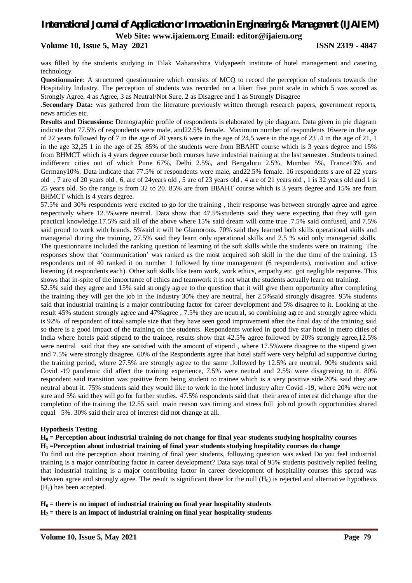#### **Volume 10, Issue 5, May 2021 ISSN 2319 - 4847**

was filled by the students studying in Tilak Maharashtra Vidyapeeth institute of hotel management and catering technology.

**Questionnaire**: A structured questionnaire which consists of MCQ to record the perception of students towards the Hospitality Industry. The perception of students was recorded on a likert five point scale in which 5 was scored as Strongly Agree, 4 as Agree, 3 as Neutral/Not Sure, 2 as Disagree and 1 as Strongly Disagree

.**Secondary Data:** was gathered from the literature previously written through research papers, government reports, news articles etc.

**Results and Discussions:** Demographic profile of respondents is elaborated by pie diagram. Data given in pie diagram indicate that 77.5% of respondents were male, and22.5% female. Maximum number of respondents 16were in the age of 22 years followed by of 7 in the age of 20 years,6 were in the age of 24,5 were in the age of 23 ,4 in the age of 21, 1 in the age 32,25 1 in the age of 25. 85% of the students were from BBAHT course which is 3 years degree and 15% from BHMCT which is 4 years degree course both courses have industrial training at the last semester. Students trained indifferent cities out of which Pune 67%, Delhi 2.5%, and Bengaluru 2.5%, Mumbai 5%, France13% and Germany10%. Data indicate that 77.5% of respondents were male, and22.5% female. 16 respondents s are of 22 years old , 7 are of 20 years old , 6, are of 24years old , 5 are of 23 years old , 4 are of 21 years old , 1 is 32 years old and 1 is 25 years old. So the range is from 32 to 20. 85% are from BBAHT course which is 3 years degree and 15% are from BHMCT which is 4 years degree.

57.5% and 30% respondents were excited to go for the training , their response was between strongly agree and agree respectively where 12.5%were neutral. Data show that 47.5%students said they were expecting that they will gain practical knowledge.17.5% said all of the above where 15% said dream will come true .7.5% said confused, and 7.5% said proud to work with brands. 5%said it will be Glamorous. 70% said they learned both skills operational skills and managerial during the training, 27.5% said they learn only operational skills and 2.5 % said only managerial skills. The questionnaire included the ranking question of learning of the soft skills while the students were on training. The responses show that 'communication' was ranked as the most acquired soft skill in the due time of the training. 13 respondents out of 40 ranked it on number 1 followed by time management (6 respondents), motivation and active listening (4 respondents each). Other soft skills like team work, work ethics, empathy etc. got negligible response. This shows that in-spite of the importance of ethics and teamwork it is not what the students actually learn on training.

52.5% said they agree and 15% said strongly agree to the question that it will give them opportunity after completing the training they will get the job in the industry 30% they are neutral, her 2.5%said strongly disagree. 95% students said that industrial training is a major contributing factor for career development and 5% disagree to it. Looking at the result 45% student strongly agree and 47%agree , 7.5% they are neutral, so combining agree and strongly agree which is 92% of respondent of total sample size that they have seen good improvement after the final day of the training said so there is a good impact of the training on the students. Respondents worked in good five star hotel in metro cities of India where hotels paid stipend to the trainee, results show that 42.5% agree followed by 20% strongly agree,12.5% were neutral said that they are satisfied with the amount of stipend , where 17.5%were disagree to the stipend given and 7.5% were strongly disagree. 60% of the Respondents agree that hotel staff were very helpful ad supportive during the training period, where 27.5% are strongly agree to the same ,followed by 12.5% are neutral. 90% students said Covid -19 pandemic did affect the training experience, 7.5% were neutral and 2.5% were disagreeing to it. 80% respondent said transition was positive from being student to trainee which is a very positive side.20% said they are neutral about it. 75% students said they would like to work in the hotel industry after Covid -19, where 20% were not sure and 5% said they will go for further studies. 47.5% respondents said that their area of interest did change after the completion of the training the 12.55 said main reason was timing and stress full job nd growth opportunities shared equal 5%. 30% said their area of interest did not change at all.

#### **Hypothesis Testing**

**H0 = Perception about industrial training do not change for final year students studying hospitality courses H1 =Perception about industrial training of final year students studying hospitality courses do change**

To find out the perception about training of final year students, following question was asked Do you feel industrial training is a major contributing factor in career development? Data says total of 95% students positively replied feeling that industrial training is a major contributing factor in career development of hospitality courses this spread was between agree and strongly agree. The result is significant there for the null  $(H_0)$  is rejected and alternative hypothesis  $(H<sub>1</sub>)$  has been accepted.

 $H_0$  = there is no impact of industrial training on final year hospitality students  $H_2$  = there is an impact of industrial training on final year hospitality students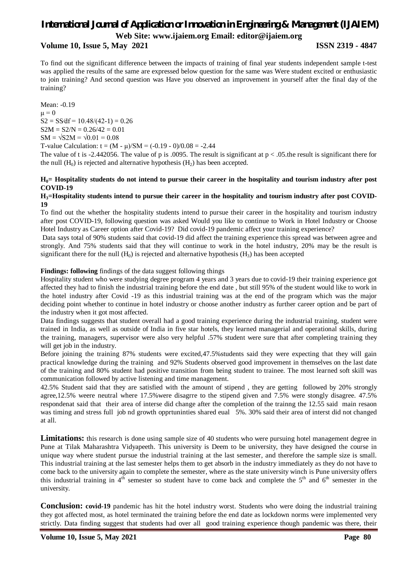# *International Journal of Application or Innovation in Engineering & Management (IJAIEM)*

**Web Site: www.ijaiem.org Email: editor@ijaiem.org**

#### **Volume 10, Issue 5, May 2021 ISSN 2319 - 4847**

To find out the significant difference between the impacts of training of final year students independent sample t-test was applied the results of the same are expressed below question for the same was Were student excited or enthusiastic to join training? And second question was Have you observed an improvement in yourself after the final day of the training?

Mean: -0.19  $\mu = 0$  $S2 = SS/df = 10.48/(42-1) = 0.26$  $S2M = S2/N = 0.26/42 = 0.01$  $SM = \sqrt{S2M} = \sqrt{0.01} = 0.08$ T-value Calculation:  $t = (M - \mu)/SM = (-0.19 - 0)/0.08 = -2.44$ 

The value of t is -2.442056. The value of p is .0095. The result is significant at  $p < .05$  the result is significant there for the null  $(H_0)$  is rejected and alternative hypothesis  $(H_2)$  has been accepted.

#### **H0= Hospitality students do not intend to pursue their career in the hospitality and tourism industry after post COVID-19**

#### **H3=Hospitality students intend to pursue their career in the hospitality and tourism industry after post COVID-19**

To find out the whether the hospitality students intend to pursue their career in the hospitality and tourism industry after post COVID-19, following question was asked Would you like to continue to Work in Hotel Industry or Choose Hotel Industry as Career option after Covid-19? Did covid-19 pandemic affect your training experience?

Data says total of 90% students said that covid-19 did affect the training experience this spread was between agree and strongly. And 75% students said that they will continue to work in the hotel industry, 20% may be the result is significant there for the null  $(H_0)$  is rejected and alternative hypothesis  $(H_3)$  has been accepted

#### **Findings: following** findings of the data suggest following things

Hospitality student who were studying degree program 4 years and 3 years due to covid-19 their training experience got affected they had to finish the industrial training before the end date , but still 95% of the student would like to work in the hotel industry after Covid -19 as this industrial training was at the end of the program which was the major deciding point whether to continue in hotel industry or choose another industry as further career option and be part of the industry when it got most affected.

Data findings suggests that student overall had a good training experience during the industrial training, student were trained in India, as well as outside of India in five star hotels, they learned managerial and operational skills, during the training, managers, supervisor were also very helpful .57% student were sure that after completing training they will get job in the industry.

Before joining the training 87% students were excited,47.5% students said they were expecting that they will gain practical knowledge during the training and 92% Students observed good improvement in themselves on the last date of the training and 80% student had positive transition from being student to trainee. The most learned soft skill was communication followed by active listening and time management.

42.5% Student said that they are satisfied with the amount of stipend , they are getting followed by 20% strongly agree,12.5% weere neutral where 17.5%were disagrre to the stipend given and 7.5% were stongly disagree. 47.5% respondenat said that their area of interse did change after the completion of the trainng the 12.55 said main resaon was timing and stress full job nd growth opprtuninties shared eual 5%. 30% said their area of interst did not changed at all.

**Limitations:** this research is done using sample size of 40 students who were pursuing hotel management degree in Pune at Tilak Maharashtra Vidyapeeth. This university is Deem to be university, they have designed the course in unique way where student pursue the industrial training at the last semester, and therefore the sample size is small. This industrial training at the last semester helps them to get absorb in the industry immediately as they do not have to come back to the university again to complete the semester, where as the state university winch is Pune university offers this industrial training in  $4<sup>th</sup>$  semester so student have to come back and complete the  $5<sup>th</sup>$  and  $6<sup>th</sup>$  semester in the university.

**Conclusion: covid-19** pandemic has hit the hotel industry worst. Students who were doing the industrial training they got affected most, as hotel terminated the training before the end date as lockdown norms were implemented very strictly. Data finding suggest that students had over all good training experience though pandemic was there, their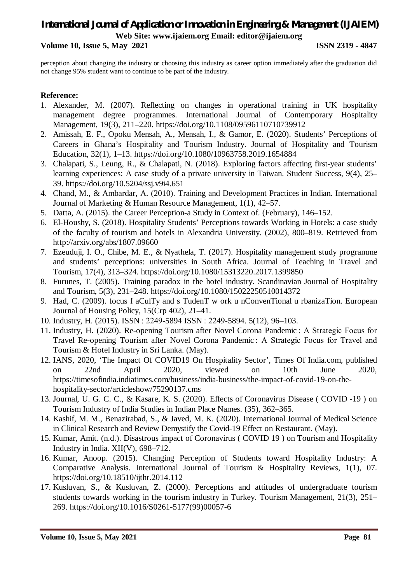**Volume 10, Issue 5, May 2021 ISSN 2319 - 4847**

perception about changing the industry or choosing this industry as career option immediately after the graduation did not change 95% student want to continue to be part of the industry.

### **Reference:**

- 1. Alexander, M. (2007). Reflecting on changes in operational training in UK hospitality management degree programmes. International Journal of Contemporary Hospitality Management, 19(3), 211–220. https://doi.org/10.1108/09596110710739912
- 2. Amissah, E. F., Opoku Mensah, A., Mensah, I., & Gamor, E. (2020). Students' Perceptions of Careers in Ghana's Hospitality and Tourism Industry. Journal of Hospitality and Tourism Education, 32(1), 1–13. https://doi.org/10.1080/10963758.2019.1654884
- 3. Chalapati, S., Leung, R., & Chalapati, N. (2018). Exploring factors affecting first-year students' learning experiences: A case study of a private university in Taiwan. Student Success, 9(4), 25– 39. https://doi.org/10.5204/ssj.v9i4.651
- 4. Chand, M., & Ambardar, A. (2010). Training and Development Practices in Indian. International Journal of Marketing & Human Resource Management, 1(1), 42–57.
- 5. Datta, A. (2015). the Career Perception-a Study in Context of. (February), 146–152.
- 6. El-Houshy, S. (2018). Hospitality Students' Perceptions towards Working in Hotels: a case study of the faculty of tourism and hotels in Alexandria University. (2002), 800–819. Retrieved from http://arxiv.org/abs/1807.09660
- 7. Ezeuduji, I. O., Chibe, M. E., & Nyathela, T. (2017). Hospitality management study programme and students' perceptions: universities in South Africa. Journal of Teaching in Travel and Tourism, 17(4), 313–324. https://doi.org/10.1080/15313220.2017.1399850
- 8. Furunes, T. (2005). Training paradox in the hotel industry. Scandinavian Journal of Hospitality and Tourism, 5(3), 231–248. https://doi.org/10.1080/15022250510014372
- 9. Had, C. (2009). focus f aCulTy and s TudenT w ork u nConvenTional u rbanizaTion. European Journal of Housing Policy, 15(Crp 402), 21–41.
- 10. Industry, H. (2015). ISSN : 2249-5894 ISSN : 2249-5894. 5(12), 96–103.
- 11. Industry, H. (2020). Re-opening Tourism after Novel Corona Pandemic : A Strategic Focus for Travel Re-opening Tourism after Novel Corona Pandemic : A Strategic Focus for Travel and Tourism & Hotel Industry in Sri Lanka. (May).
- 12. IANS, 2020, 'The Impact Of COVID19 On Hospitality Sector', Times Of India.com, published on 22nd April 2020, viewed on 10th June 2020, https://timesofindia.indiatimes.com/business/india-business/the-impact-of-covid-19-on-thehospitality-sector/articleshow/75290137.cms
- 13. Journal, U. G. C. C., & Kasare, K. S. (2020). Effects of Coronavirus Disease ( COVID -19 ) on Tourism Industry of India Studies in Indian Place Names. (35), 362–365.
- 14. Kashif, M. M., Benazirabad, S., & Javed, M. K. (2020). International Journal of Medical Science in Clinical Research and Review Demystify the Covid-19 Effect on Restaurant. (May).
- 15. Kumar, Amit. (n.d.). Disastrous impact of Coronavirus ( COVID 19 ) on Tourism and Hospitality Industry in India.  $XII(V)$ , 698–712.
- 16. Kumar, Anoop. (2015). Changing Perception of Students toward Hospitality Industry: A Comparative Analysis. International Journal of Tourism & Hospitality Reviews, 1(1), 07. https://doi.org/10.18510/ijthr.2014.112
- 17. Kusluvan, S., & Kusluvan, Z. (2000). Perceptions and attitudes of undergraduate tourism students towards working in the tourism industry in Turkey. Tourism Management, 21(3), 251– 269. https://doi.org/10.1016/S0261-5177(99)00057-6